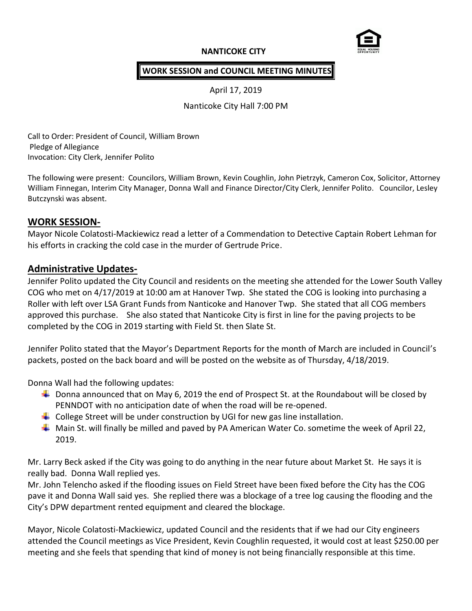## **NANTICOKE CITY**



#### **WORK SESSION and COUNCIL MEETING MINUTES**

April 17, 2019

Nanticoke City Hall 7:00 PM

Call to Order: President of Council, William Brown Pledge of Allegiance Invocation: City Clerk, Jennifer Polito

The following were present: Councilors, William Brown, Kevin Coughlin, John Pietrzyk, Cameron Cox, Solicitor, Attorney William Finnegan, Interim City Manager, Donna Wall and Finance Director/City Clerk, Jennifer Polito. Councilor, Lesley Butczynski was absent.

#### **WORK SESSION-**

Mayor Nicole Colatosti-Mackiewicz read a letter of a Commendation to Detective Captain Robert Lehman for his efforts in cracking the cold case in the murder of Gertrude Price.

# **Administrative Updates-**

Jennifer Polito updated the City Council and residents on the meeting she attended for the Lower South Valley COG who met on 4/17/2019 at 10:00 am at Hanover Twp. She stated the COG is looking into purchasing a Roller with left over LSA Grant Funds from Nanticoke and Hanover Twp. She stated that all COG members approved this purchase. She also stated that Nanticoke City is first in line for the paving projects to be completed by the COG in 2019 starting with Field St. then Slate St.

Jennifer Polito stated that the Mayor's Department Reports for the month of March are included in Council's packets, posted on the back board and will be posted on the website as of Thursday, 4/18/2019.

Donna Wall had the following updates:

- $\ddot{\phantom{1}}$  Donna announced that on May 6, 2019 the end of Prospect St. at the Roundabout will be closed by PENNDOT with no anticipation date of when the road will be re-opened.
- $\ddot{\phantom{1}}$  College Street will be under construction by UGI for new gas line installation.
- $\ddot{+}$  Main St. will finally be milled and paved by PA American Water Co. sometime the week of April 22, 2019.

Mr. Larry Beck asked if the City was going to do anything in the near future about Market St. He says it is really bad. Donna Wall replied yes.

Mr. John Telencho asked if the flooding issues on Field Street have been fixed before the City has the COG pave it and Donna Wall said yes. She replied there was a blockage of a tree log causing the flooding and the City's DPW department rented equipment and cleared the blockage.

Mayor, Nicole Colatosti-Mackiewicz, updated Council and the residents that if we had our City engineers attended the Council meetings as Vice President, Kevin Coughlin requested, it would cost at least \$250.00 per meeting and she feels that spending that kind of money is not being financially responsible at this time.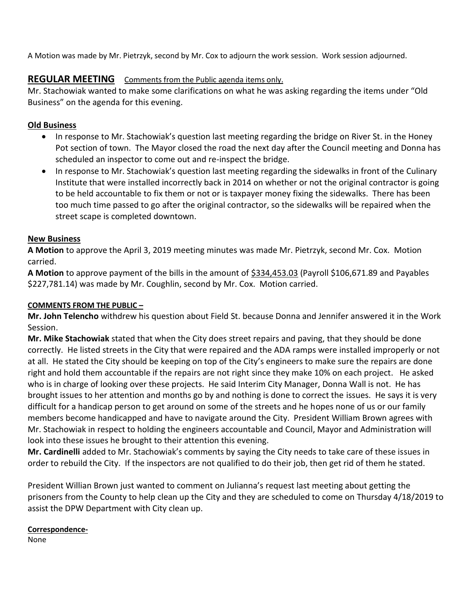A Motion was made by Mr. Pietrzyk, second by Mr. Cox to adjourn the work session. Work session adjourned.

# **REGULAR MEETING** Comments from the Public agenda items only.

Mr. Stachowiak wanted to make some clarifications on what he was asking regarding the items under "Old Business" on the agenda for this evening.

# **Old Business**

- In response to Mr. Stachowiak's question last meeting regarding the bridge on River St. in the Honey Pot section of town. The Mayor closed the road the next day after the Council meeting and Donna has scheduled an inspector to come out and re-inspect the bridge.
- In response to Mr. Stachowiak's question last meeting regarding the sidewalks in front of the Culinary Institute that were installed incorrectly back in 2014 on whether or not the original contractor is going to be held accountable to fix them or not or is taxpayer money fixing the sidewalks. There has been too much time passed to go after the original contractor, so the sidewalks will be repaired when the street scape is completed downtown.

### **New Business**

**A Motion** to approve the April 3, 2019 meeting minutes was made Mr. Pietrzyk, second Mr. Cox. Motion carried.

**A Motion** to approve payment of the bills in the amount of \$334,453.03 (Payroll \$106,671.89 and Payables \$227,781.14) was made by Mr. Coughlin, second by Mr. Cox. Motion carried.

## **COMMENTS FROM THE PUBLIC –**

**Mr. John Telencho** withdrew his question about Field St. because Donna and Jennifer answered it in the Work Session.

**Mr. Mike Stachowiak** stated that when the City does street repairs and paving, that they should be done correctly. He listed streets in the City that were repaired and the ADA ramps were installed improperly or not at all. He stated the City should be keeping on top of the City's engineers to make sure the repairs are done right and hold them accountable if the repairs are not right since they make 10% on each project. He asked who is in charge of looking over these projects. He said Interim City Manager, Donna Wall is not. He has brought issues to her attention and months go by and nothing is done to correct the issues. He says it is very difficult for a handicap person to get around on some of the streets and he hopes none of us or our family members become handicapped and have to navigate around the City. President William Brown agrees with Mr. Stachowiak in respect to holding the engineers accountable and Council, Mayor and Administration will look into these issues he brought to their attention this evening.

**Mr. Cardinelli** added to Mr. Stachowiak's comments by saying the City needs to take care of these issues in order to rebuild the City. If the inspectors are not qualified to do their job, then get rid of them he stated.

President Willian Brown just wanted to comment on Julianna's request last meeting about getting the prisoners from the County to help clean up the City and they are scheduled to come on Thursday 4/18/2019 to assist the DPW Department with City clean up.

### **Correspondence-**

None